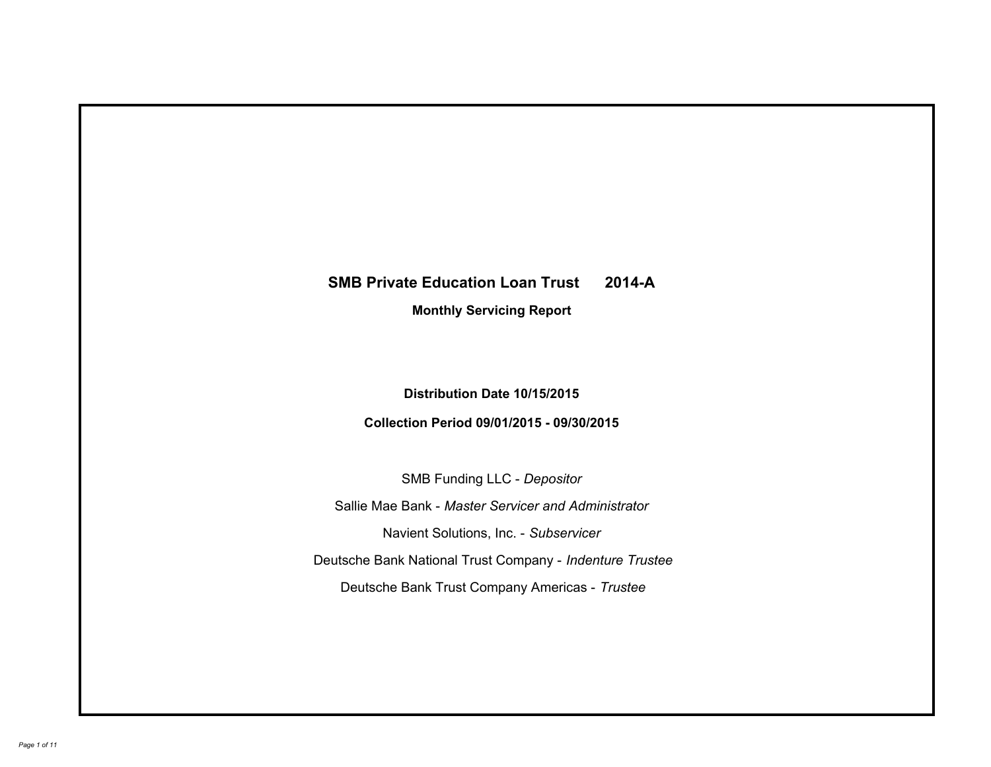# **SMB Private Education Loan Trust 2014-A Monthly Servicing Report**

# **Distribution Date 10/15/2015**

# **Collection Period 09/01/2015 - 09/30/2015**

SMB Funding LLC - *Depositor*

Sallie Mae Bank - *Master Servicer and Administrator*

Navient Solutions, Inc. - *Subservicer*

Deutsche Bank National Trust Company - *Indenture Trustee*

Deutsche Bank Trust Company Americas - *Trustee*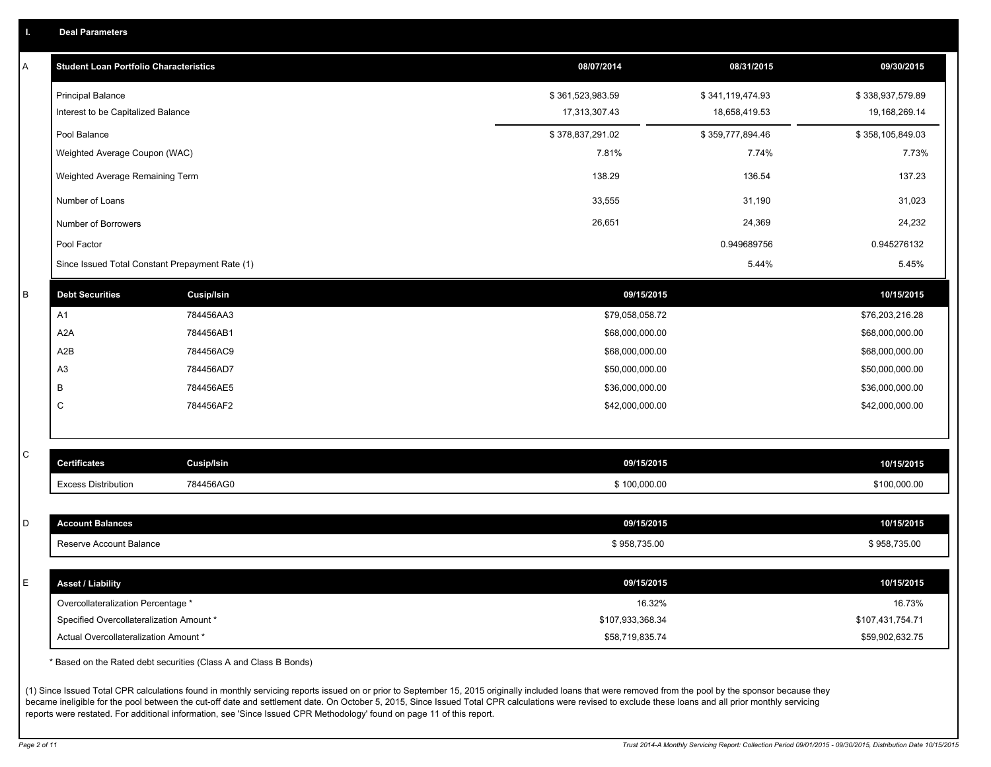|  |  |  | <b>Deal Parameters</b> |  |
|--|--|--|------------------------|--|
|--|--|--|------------------------|--|

| Α | <b>Student Loan Portfolio Characteristics</b>   |                   | 08/07/2014       | 08/31/2015       | 09/30/2015       |
|---|-------------------------------------------------|-------------------|------------------|------------------|------------------|
|   | <b>Principal Balance</b>                        |                   | \$361,523,983.59 | \$341,119,474.93 | \$338,937,579.89 |
|   | Interest to be Capitalized Balance              |                   | 17,313,307.43    | 18,658,419.53    | 19,168,269.14    |
|   | Pool Balance                                    |                   | \$378,837,291.02 | \$359,777,894.46 | \$358,105,849.03 |
|   | Weighted Average Coupon (WAC)                   |                   | 7.81%            | 7.74%            | 7.73%            |
|   | Weighted Average Remaining Term                 |                   | 138.29           | 136.54           | 137.23           |
|   | Number of Loans                                 |                   | 33,555           | 31,190           | 31,023           |
|   | Number of Borrowers                             |                   | 26,651           | 24,369           | 24,232           |
|   | Pool Factor                                     |                   |                  | 0.949689756      | 0.945276132      |
|   | Since Issued Total Constant Prepayment Rate (1) |                   |                  | 5.44%            | 5.45%            |
| B | <b>Debt Securities</b>                          | <b>Cusip/Isin</b> | 09/15/2015       |                  | 10/15/2015       |
|   | A1                                              | 784456AA3         | \$79,058,058.72  |                  | \$76,203,216.28  |
|   | A <sub>2</sub> A                                | 784456AB1         | \$68,000,000.00  |                  | \$68,000,000.00  |
|   | A <sub>2</sub> B                                | 784456AC9         | \$68,000,000.00  |                  | \$68,000,000.00  |
|   | A <sub>3</sub>                                  | 784456AD7         | \$50,000,000.00  |                  | \$50,000,000.00  |
|   | В                                               | 784456AE5         | \$36,000,000.00  |                  | \$36,000,000.00  |
|   | C                                               | 784456AF2         | \$42,000,000.00  |                  | \$42,000,000.00  |
|   |                                                 |                   |                  |                  |                  |
| C | <b>Certificates</b>                             | Cusip/Isin        | 09/15/2015       |                  | 10/15/2015       |
|   | <b>Excess Distribution</b>                      | 784456AG0         | \$100,000.00     |                  | \$100,000.00     |
|   |                                                 |                   |                  |                  |                  |
| D | <b>Account Balances</b>                         |                   | 09/15/2015       |                  | 10/15/2015       |
|   | Reserve Account Balance                         |                   | \$958,735.00     |                  | \$958,735.00     |
|   |                                                 |                   |                  |                  |                  |
| E | <b>Asset / Liability</b>                        |                   | 09/15/2015       |                  | 10/15/2015       |
|   | Overcollateralization Percentage *              |                   | 16.32%           |                  | 16.73%           |
|   | Specified Overcollateralization Amount *        |                   | \$107,933,368.34 |                  | \$107,431,754.71 |
|   | Actual Overcollateralization Amount *           |                   | \$58,719,835.74  |                  | \$59,902,632.75  |

\* Based on the Rated debt securities (Class A and Class B Bonds)

(1) Since Issued Total CPR calculations found in monthly servicing reports issued on or prior to September 15, 2015 originally included loans that were removed from the pool by the sponsor because they became ineligible for the pool between the cut-off date and settlement date. On October 5, 2015, Since Issued Total CPR calculations were revised to exclude these loans and all prior monthly servicing reports were restated. For additional information, see 'Since Issued CPR Methodology' found on page 11 of this report.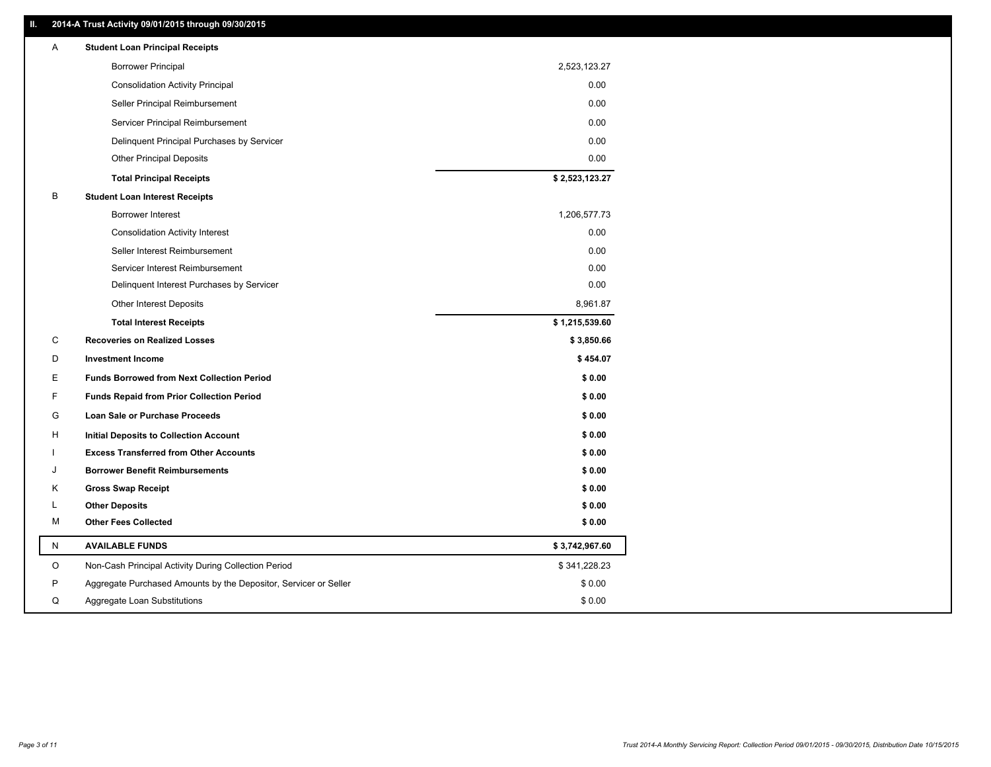### **II. 2014-A Trust Activity 09/01/2015 through 09/30/2015**

| Α | <b>Student Loan Principal Receipts</b>                           |                |
|---|------------------------------------------------------------------|----------------|
|   | <b>Borrower Principal</b>                                        | 2,523,123.27   |
|   | <b>Consolidation Activity Principal</b>                          | 0.00           |
|   | Seller Principal Reimbursement                                   | 0.00           |
|   | Servicer Principal Reimbursement                                 | 0.00           |
|   | Delinquent Principal Purchases by Servicer                       | 0.00           |
|   | <b>Other Principal Deposits</b>                                  | 0.00           |
|   | <b>Total Principal Receipts</b>                                  | \$2,523,123.27 |
| В | <b>Student Loan Interest Receipts</b>                            |                |
|   | <b>Borrower Interest</b>                                         | 1,206,577.73   |
|   | <b>Consolidation Activity Interest</b>                           | 0.00           |
|   | Seller Interest Reimbursement                                    | 0.00           |
|   | Servicer Interest Reimbursement                                  | 0.00           |
|   | Delinquent Interest Purchases by Servicer                        | 0.00           |
|   | <b>Other Interest Deposits</b>                                   | 8,961.87       |
|   | <b>Total Interest Receipts</b>                                   | \$1,215,539.60 |
| C | <b>Recoveries on Realized Losses</b>                             | \$3,850.66     |
| D | <b>Investment Income</b>                                         | \$454.07       |
| E | <b>Funds Borrowed from Next Collection Period</b>                | \$0.00         |
| F | <b>Funds Repaid from Prior Collection Period</b>                 | \$0.00         |
| G | <b>Loan Sale or Purchase Proceeds</b>                            | \$0.00         |
| H | Initial Deposits to Collection Account                           | \$0.00         |
|   | <b>Excess Transferred from Other Accounts</b>                    | \$0.00         |
|   | <b>Borrower Benefit Reimbursements</b>                           | \$0.00         |
| Κ | <b>Gross Swap Receipt</b>                                        | \$0.00         |
| L | <b>Other Deposits</b>                                            | \$0.00         |
| М | <b>Other Fees Collected</b>                                      | \$0.00         |
| N | <b>AVAILABLE FUNDS</b>                                           | \$3,742,967.60 |
| O | Non-Cash Principal Activity During Collection Period             | \$341,228.23   |
| P | Aggregate Purchased Amounts by the Depositor, Servicer or Seller | \$0.00         |
| Q | Aggregate Loan Substitutions                                     | \$0.00         |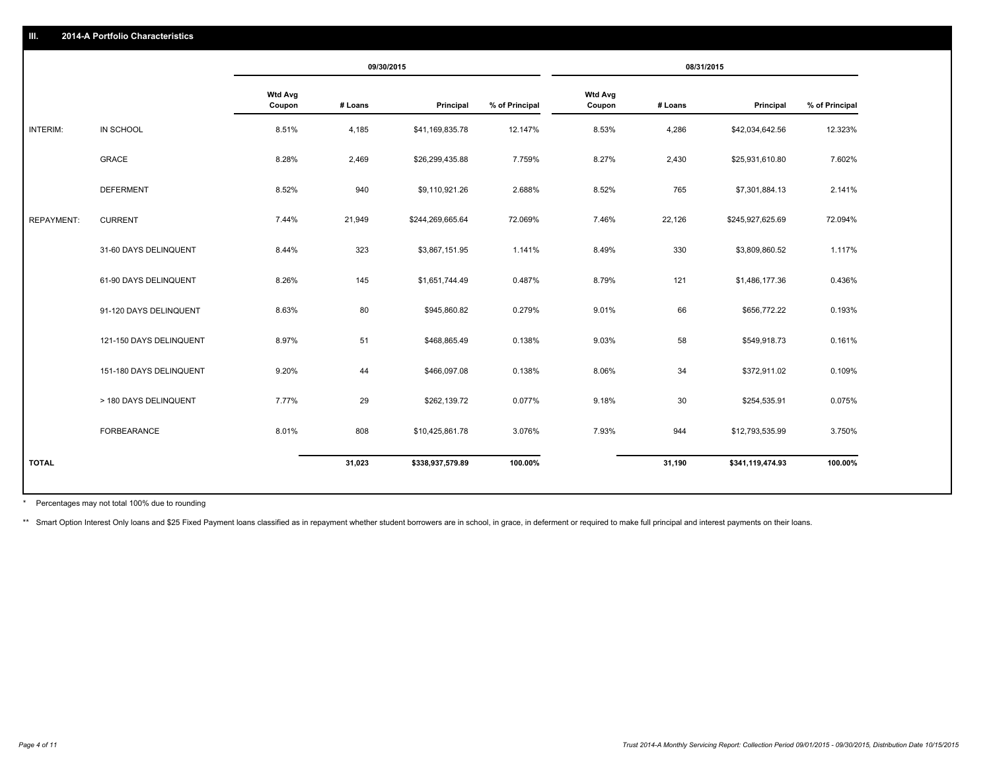|                   |                         |                          | 09/30/2015 |                  | 08/31/2015     |                          |         |                  |                |
|-------------------|-------------------------|--------------------------|------------|------------------|----------------|--------------------------|---------|------------------|----------------|
|                   |                         | <b>Wtd Avg</b><br>Coupon | # Loans    | Principal        | % of Principal | <b>Wtd Avg</b><br>Coupon | # Loans | Principal        | % of Principal |
| INTERIM:          | IN SCHOOL               | 8.51%                    | 4,185      | \$41,169,835.78  | 12.147%        | 8.53%                    | 4,286   | \$42,034,642.56  | 12.323%        |
|                   | GRACE                   | 8.28%                    | 2,469      | \$26,299,435.88  | 7.759%         | 8.27%                    | 2,430   | \$25,931,610.80  | 7.602%         |
|                   | <b>DEFERMENT</b>        | 8.52%                    | 940        | \$9,110,921.26   | 2.688%         | 8.52%                    | 765     | \$7,301,884.13   | 2.141%         |
| <b>REPAYMENT:</b> | <b>CURRENT</b>          | 7.44%                    | 21,949     | \$244,269,665.64 | 72.069%        | 7.46%                    | 22,126  | \$245,927,625.69 | 72.094%        |
|                   | 31-60 DAYS DELINQUENT   | 8.44%                    | 323        | \$3,867,151.95   | 1.141%         | 8.49%                    | 330     | \$3,809,860.52   | 1.117%         |
|                   | 61-90 DAYS DELINQUENT   | 8.26%                    | 145        | \$1,651,744.49   | 0.487%         | 8.79%                    | 121     | \$1,486,177.36   | 0.436%         |
|                   | 91-120 DAYS DELINQUENT  | 8.63%                    | 80         | \$945,860.82     | 0.279%         | 9.01%                    | 66      | \$656,772.22     | 0.193%         |
|                   | 121-150 DAYS DELINQUENT | 8.97%                    | 51         | \$468,865.49     | 0.138%         | 9.03%                    | 58      | \$549,918.73     | 0.161%         |
|                   | 151-180 DAYS DELINQUENT | 9.20%                    | 44         | \$466,097.08     | 0.138%         | 8.06%                    | 34      | \$372,911.02     | 0.109%         |
|                   | > 180 DAYS DELINQUENT   | 7.77%                    | 29         | \$262,139.72     | 0.077%         | 9.18%                    | 30      | \$254,535.91     | 0.075%         |
|                   | FORBEARANCE             | 8.01%                    | 808        | \$10,425,861.78  | 3.076%         | 7.93%                    | 944     | \$12,793,535.99  | 3.750%         |
| <b>TOTAL</b>      |                         |                          | 31,023     | \$338,937,579.89 | 100.00%        |                          | 31,190  | \$341,119,474.93 | 100.00%        |

Percentages may not total 100% due to rounding \*

\*\* Smart Option Interest Only loans and \$25 Fixed Payment loans classified as in repayment whether student borrowers are in school, in grace, in deferment or required to make full principal and interest payments on their l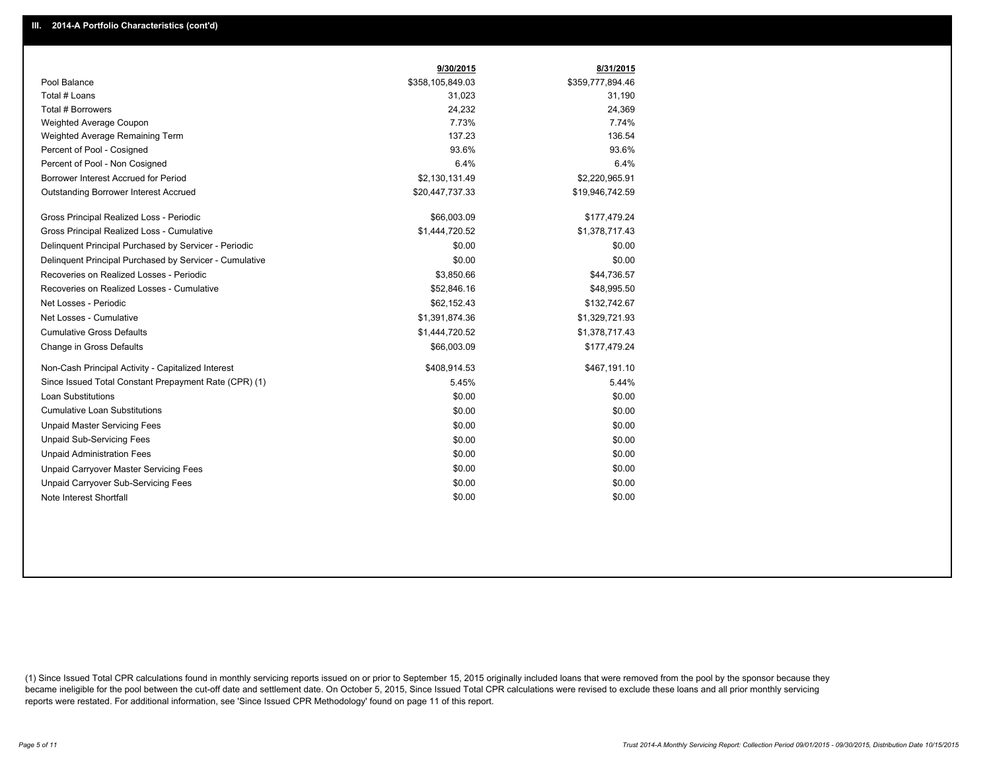|                                                         | 9/30/2015        | 8/31/2015        |
|---------------------------------------------------------|------------------|------------------|
| Pool Balance                                            | \$358,105,849.03 | \$359,777,894.46 |
| Total # Loans                                           | 31,023           | 31,190           |
| Total # Borrowers                                       | 24,232           | 24,369           |
| Weighted Average Coupon                                 | 7.73%            | 7.74%            |
| Weighted Average Remaining Term                         | 137.23           | 136.54           |
| Percent of Pool - Cosigned                              | 93.6%            | 93.6%            |
| Percent of Pool - Non Cosigned                          | 6.4%             | 6.4%             |
| Borrower Interest Accrued for Period                    | \$2,130,131.49   | \$2,220,965.91   |
| Outstanding Borrower Interest Accrued                   | \$20,447,737.33  | \$19,946,742.59  |
| Gross Principal Realized Loss - Periodic                | \$66,003.09      | \$177,479.24     |
| Gross Principal Realized Loss - Cumulative              | \$1,444,720.52   | \$1,378,717.43   |
| Delinquent Principal Purchased by Servicer - Periodic   | \$0.00           | \$0.00           |
| Delinquent Principal Purchased by Servicer - Cumulative | \$0.00           | \$0.00           |
| Recoveries on Realized Losses - Periodic                | \$3,850.66       | \$44,736.57      |
| Recoveries on Realized Losses - Cumulative              | \$52,846.16      | \$48,995.50      |
| Net Losses - Periodic                                   | \$62,152.43      | \$132,742.67     |
| Net Losses - Cumulative                                 | \$1,391,874.36   | \$1,329,721.93   |
| <b>Cumulative Gross Defaults</b>                        | \$1,444,720.52   | \$1,378,717.43   |
| Change in Gross Defaults                                | \$66,003.09      | \$177,479.24     |
| Non-Cash Principal Activity - Capitalized Interest      | \$408,914.53     | \$467,191.10     |
| Since Issued Total Constant Prepayment Rate (CPR) (1)   | 5.45%            | 5.44%            |
| <b>Loan Substitutions</b>                               | \$0.00           | \$0.00           |
| <b>Cumulative Loan Substitutions</b>                    | \$0.00           | \$0.00           |
| <b>Unpaid Master Servicing Fees</b>                     | \$0.00           | \$0.00           |
| <b>Unpaid Sub-Servicing Fees</b>                        | \$0.00           | \$0.00           |
| <b>Unpaid Administration Fees</b>                       | \$0.00           | \$0.00           |
| Unpaid Carryover Master Servicing Fees                  | \$0.00           | \$0.00           |
| <b>Unpaid Carryover Sub-Servicing Fees</b>              | \$0.00           | \$0.00           |
| Note Interest Shortfall                                 | \$0.00           | \$0.00           |

(1) Since Issued Total CPR calculations found in monthly servicing reports issued on or prior to September 15, 2015 originally included loans that were removed from the pool by the sponsor because they became ineligible for the pool between the cut-off date and settlement date. On October 5, 2015, Since Issued Total CPR calculations were revised to exclude these loans and all prior monthly servicing reports were restated. For additional information, see 'Since Issued CPR Methodology' found on page 11 of this report.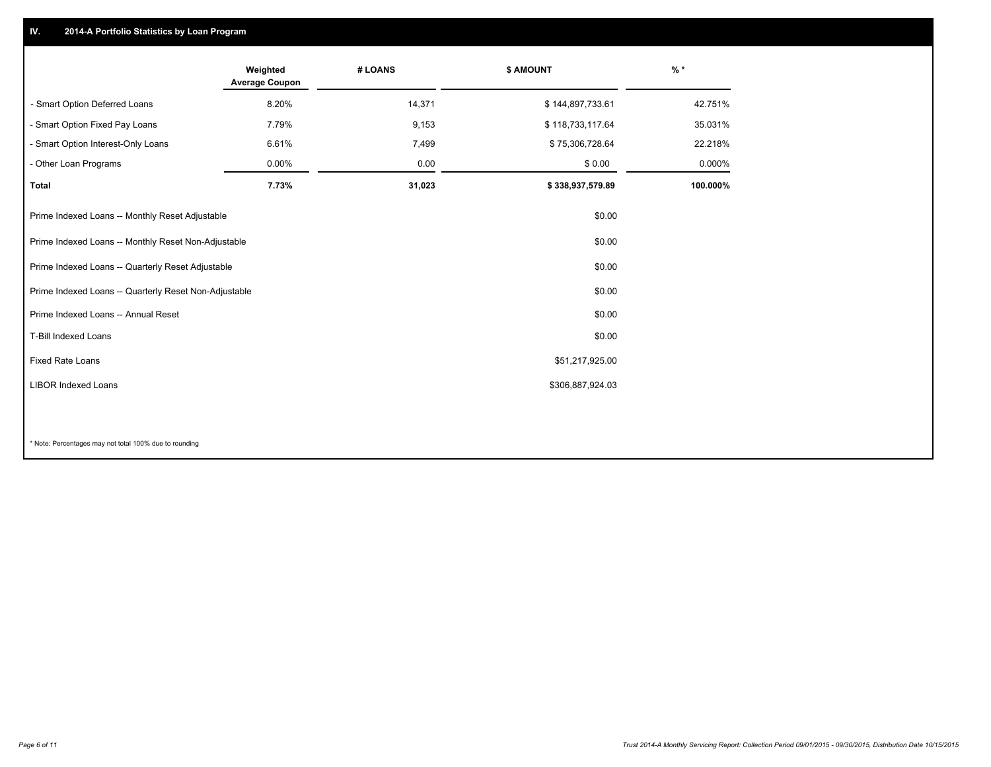## **IV. 2014-A Portfolio Statistics by Loan Program**

|                                                       | Weighted<br><b>Average Coupon</b> | # LOANS | \$ AMOUNT        | $%$ *    |
|-------------------------------------------------------|-----------------------------------|---------|------------------|----------|
| - Smart Option Deferred Loans                         | 8.20%                             | 14,371  | \$144,897,733.61 | 42.751%  |
| - Smart Option Fixed Pay Loans                        | 7.79%                             | 9,153   | \$118,733,117.64 | 35.031%  |
| - Smart Option Interest-Only Loans                    | 6.61%                             | 7,499   | \$75,306,728.64  | 22.218%  |
| - Other Loan Programs                                 | 0.00%                             | 0.00    | \$0.00           | 0.000%   |
| <b>Total</b>                                          | 7.73%                             | 31,023  | \$338,937,579.89 | 100.000% |
| Prime Indexed Loans -- Monthly Reset Adjustable       |                                   |         | \$0.00           |          |
| Prime Indexed Loans -- Monthly Reset Non-Adjustable   |                                   |         | \$0.00           |          |
| Prime Indexed Loans -- Quarterly Reset Adjustable     |                                   |         | \$0.00           |          |
| Prime Indexed Loans -- Quarterly Reset Non-Adjustable |                                   |         | \$0.00           |          |
| Prime Indexed Loans -- Annual Reset                   |                                   |         | \$0.00           |          |
| <b>T-Bill Indexed Loans</b>                           |                                   |         | \$0.00           |          |
| <b>Fixed Rate Loans</b>                               |                                   |         | \$51,217,925.00  |          |
| <b>LIBOR Indexed Loans</b>                            |                                   |         | \$306,887,924.03 |          |
|                                                       |                                   |         |                  |          |

\* Note: Percentages may not total 100% due to rounding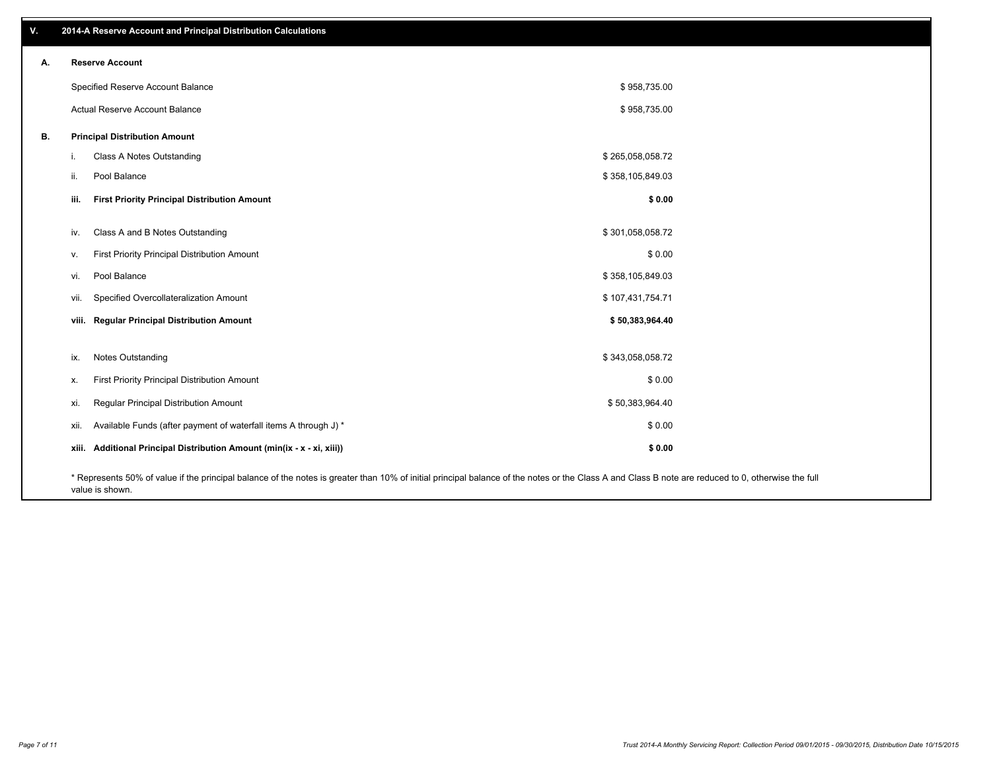| V. | 2014-A Reserve Account and Principal Distribution Calculations                                                                                                                                     |                  |  |
|----|----------------------------------------------------------------------------------------------------------------------------------------------------------------------------------------------------|------------------|--|
| А. | <b>Reserve Account</b>                                                                                                                                                                             |                  |  |
|    | Specified Reserve Account Balance                                                                                                                                                                  | \$958,735.00     |  |
|    | Actual Reserve Account Balance                                                                                                                                                                     | \$958,735.00     |  |
| В. | <b>Principal Distribution Amount</b>                                                                                                                                                               |                  |  |
|    | Class A Notes Outstanding<br>i.                                                                                                                                                                    | \$265,058,058.72 |  |
|    | Pool Balance<br>ii.                                                                                                                                                                                | \$358,105,849.03 |  |
|    | <b>First Priority Principal Distribution Amount</b><br>iii.                                                                                                                                        | \$0.00           |  |
|    | Class A and B Notes Outstanding<br>iv.                                                                                                                                                             | \$301,058,058.72 |  |
|    | First Priority Principal Distribution Amount<br>v.                                                                                                                                                 | \$0.00           |  |
|    | Pool Balance<br>vi.                                                                                                                                                                                | \$358,105,849.03 |  |
|    | Specified Overcollateralization Amount<br>vii.                                                                                                                                                     | \$107,431,754.71 |  |
|    | viii. Regular Principal Distribution Amount                                                                                                                                                        | \$50,383,964.40  |  |
|    |                                                                                                                                                                                                    |                  |  |
|    | Notes Outstanding<br>ix.                                                                                                                                                                           | \$343,058,058.72 |  |
|    | First Priority Principal Distribution Amount<br>х.                                                                                                                                                 | \$0.00           |  |
|    | Regular Principal Distribution Amount<br>xi.                                                                                                                                                       | \$50,383,964.40  |  |
|    | Available Funds (after payment of waterfall items A through J) *<br>xii.                                                                                                                           | \$0.00           |  |
|    | xiii. Additional Principal Distribution Amount (min(ix - x - xi, xiii))                                                                                                                            | \$0.00           |  |
|    | * Represents 50% of value if the principal balance of the notes is greater than 10% of initial principal balance of the notes or the Class A and Class B note are reduced to 0, otherwise the full |                  |  |

value is shown.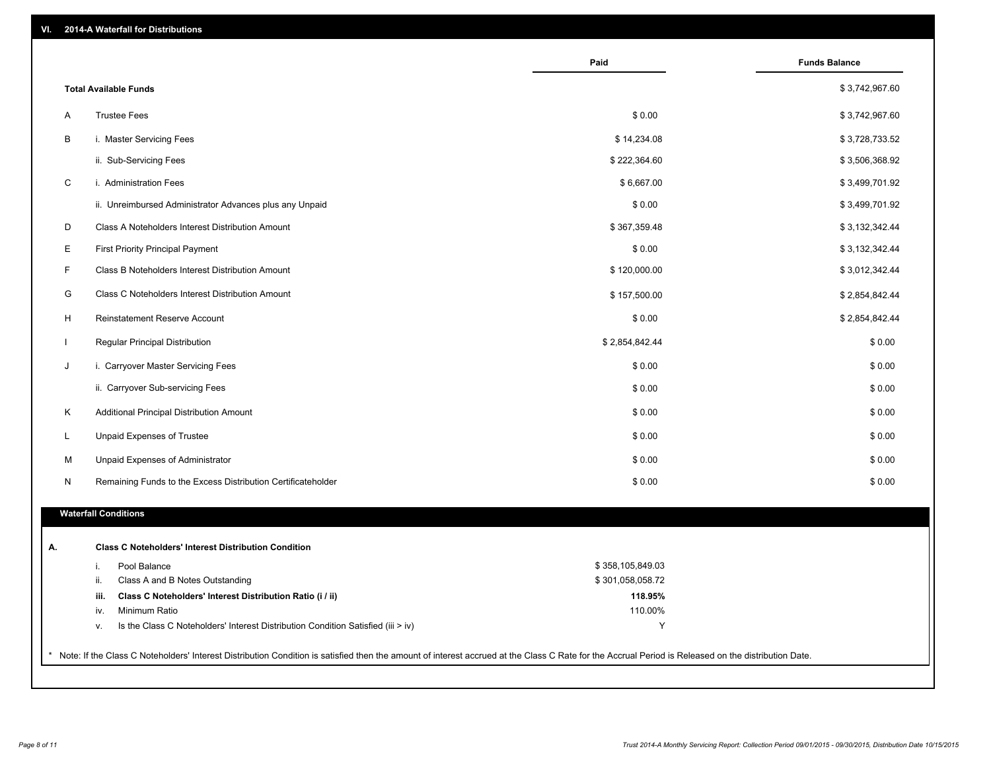| VI. |  | 2014-A Waterfall for Distributions |  |  |  |
|-----|--|------------------------------------|--|--|--|
|-----|--|------------------------------------|--|--|--|

|   |                                                                                        | Paid             | <b>Funds Balance</b> |
|---|----------------------------------------------------------------------------------------|------------------|----------------------|
|   | <b>Total Available Funds</b>                                                           |                  | \$3,742,967.60       |
| A | <b>Trustee Fees</b>                                                                    | \$0.00           | \$3,742,967.60       |
| B | i. Master Servicing Fees                                                               | \$14,234.08      | \$3,728,733.52       |
|   | ii. Sub-Servicing Fees                                                                 | \$222,364.60     | \$3,506,368.92       |
| C | i. Administration Fees                                                                 | \$6,667.00       | \$3,499,701.92       |
|   | ii. Unreimbursed Administrator Advances plus any Unpaid                                | \$0.00           | \$3,499,701.92       |
| D | Class A Noteholders Interest Distribution Amount                                       | \$367,359.48     | \$3,132,342.44       |
| E | <b>First Priority Principal Payment</b>                                                | \$0.00           | \$3,132,342.44       |
| F | Class B Noteholders Interest Distribution Amount                                       | \$120,000.00     | \$3,012,342.44       |
|   |                                                                                        |                  |                      |
| G | Class C Noteholders Interest Distribution Amount                                       | \$157,500.00     | \$2,854,842.44       |
| H | <b>Reinstatement Reserve Account</b>                                                   | \$0.00           | \$2,854,842.44       |
|   | Regular Principal Distribution                                                         | \$2,854,842.44   | \$0.00               |
| J | i. Carryover Master Servicing Fees                                                     | \$0.00           | \$0.00               |
|   | ii. Carryover Sub-servicing Fees                                                       | \$0.00           | \$0.00               |
| K | Additional Principal Distribution Amount                                               | \$0.00           | \$0.00               |
| L | Unpaid Expenses of Trustee                                                             | \$0.00           | \$0.00               |
| M | Unpaid Expenses of Administrator                                                       | \$0.00           | \$0.00               |
| N | Remaining Funds to the Excess Distribution Certificateholder                           | \$0.00           | \$0.00               |
|   | <b>Waterfall Conditions</b>                                                            |                  |                      |
|   | <b>Class C Noteholders' Interest Distribution Condition</b>                            |                  |                      |
|   | Pool Balance<br>i.                                                                     | \$358,105,849.03 |                      |
|   | ii.<br>Class A and B Notes Outstanding                                                 | \$301,058,058.72 |                      |
|   | iii.<br>Class C Noteholders' Interest Distribution Ratio (i / ii)                      | 118.95%          |                      |
|   | Minimum Ratio<br>iv.                                                                   | 110.00%          |                      |
|   | Is the Class C Noteholders' Interest Distribution Condition Satisfied (iii > iv)<br>ν. | Υ                |                      |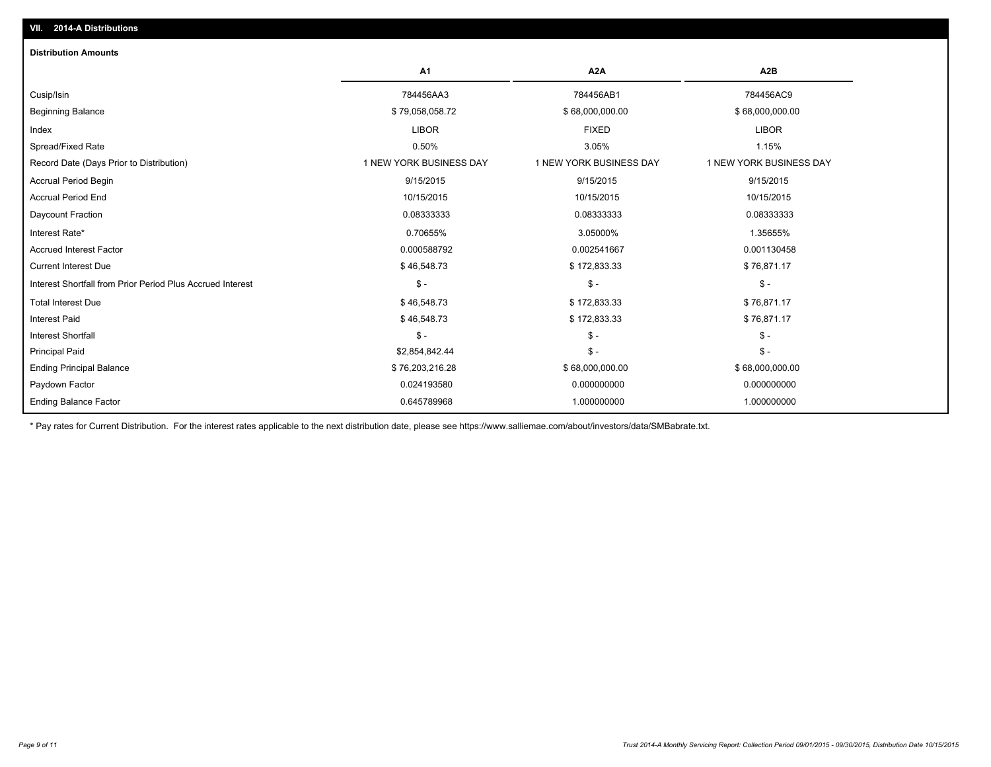| <b>Distribution Amounts</b>                                |                         |                         |                         |
|------------------------------------------------------------|-------------------------|-------------------------|-------------------------|
|                                                            | A <sub>1</sub>          | A <sub>2</sub> A        | A <sub>2</sub> B        |
| Cusip/Isin                                                 | 784456AA3               | 784456AB1               | 784456AC9               |
| <b>Beginning Balance</b>                                   | \$79,058,058.72         | \$68,000,000.00         | \$68,000,000.00         |
| Index                                                      | <b>LIBOR</b>            | <b>FIXED</b>            | <b>LIBOR</b>            |
| Spread/Fixed Rate                                          | 0.50%                   | 3.05%                   | 1.15%                   |
| Record Date (Days Prior to Distribution)                   | 1 NEW YORK BUSINESS DAY | 1 NEW YORK BUSINESS DAY | 1 NEW YORK BUSINESS DAY |
| Accrual Period Begin                                       | 9/15/2015               | 9/15/2015               | 9/15/2015               |
| <b>Accrual Period End</b>                                  | 10/15/2015              | 10/15/2015              | 10/15/2015              |
| Daycount Fraction                                          | 0.08333333              | 0.08333333              | 0.08333333              |
| Interest Rate*                                             | 0.70655%                | 3.05000%                | 1.35655%                |
| <b>Accrued Interest Factor</b>                             | 0.000588792             | 0.002541667             | 0.001130458             |
| <b>Current Interest Due</b>                                | \$46,548.73             | \$172,833.33            | \$76,871.17             |
| Interest Shortfall from Prior Period Plus Accrued Interest | $\mathsf{\$}$ -         | $\mathsf{\$}$ -         | $\mathcal{S}$ -         |
| <b>Total Interest Due</b>                                  | \$46,548.73             | \$172,833.33            | \$76,871.17             |
| <b>Interest Paid</b>                                       | \$46,548.73             | \$172,833.33            | \$76,871.17             |
| <b>Interest Shortfall</b>                                  | $S -$                   | $\mathsf{\$}$ -         | $\mathsf{\$}$ -         |
| <b>Principal Paid</b>                                      | \$2,854,842.44          | $\mathsf{\$}$ -         | $\mathsf{\$}$ -         |
| <b>Ending Principal Balance</b>                            | \$76,203,216.28         | \$68,000,000.00         | \$68,000,000.00         |
| Paydown Factor                                             | 0.024193580             | 0.000000000             | 0.000000000             |
| <b>Ending Balance Factor</b>                               | 0.645789968             | 1.000000000             | 1.000000000             |

\* Pay rates for Current Distribution. For the interest rates applicable to the next distribution date, please see https://www.salliemae.com/about/investors/data/SMBabrate.txt.

**VII. 2014-A Distributions**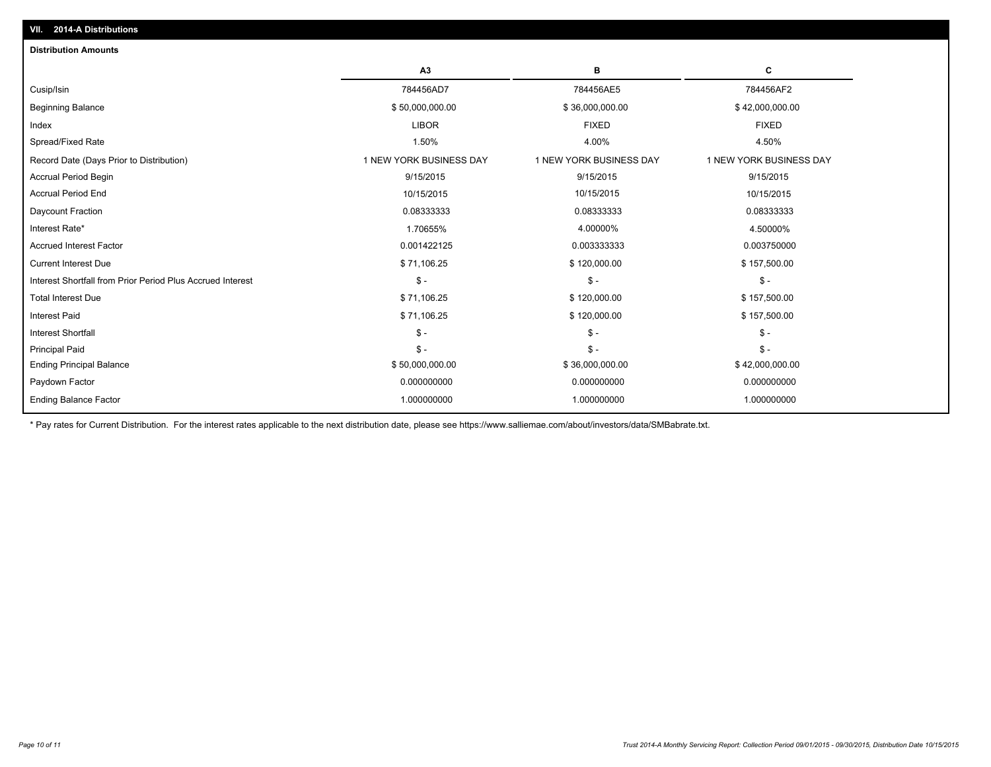| <b>Distribution Amounts</b>                                |                         |                         |                         |
|------------------------------------------------------------|-------------------------|-------------------------|-------------------------|
|                                                            | A3                      | в                       | С                       |
| Cusip/Isin                                                 | 784456AD7               | 784456AE5               | 784456AF2               |
| <b>Beginning Balance</b>                                   | \$50,000,000.00         | \$36,000,000.00         | \$42,000,000.00         |
| Index                                                      | <b>LIBOR</b>            | <b>FIXED</b>            | <b>FIXED</b>            |
| Spread/Fixed Rate                                          | 1.50%                   | 4.00%                   | 4.50%                   |
| Record Date (Days Prior to Distribution)                   | 1 NEW YORK BUSINESS DAY | 1 NEW YORK BUSINESS DAY | 1 NEW YORK BUSINESS DAY |
| Accrual Period Begin                                       | 9/15/2015               | 9/15/2015               | 9/15/2015               |
| <b>Accrual Period End</b>                                  | 10/15/2015              | 10/15/2015              | 10/15/2015              |
| Daycount Fraction                                          | 0.08333333              | 0.08333333              | 0.08333333              |
| Interest Rate*                                             | 1.70655%                | 4.00000%                | 4.50000%                |
| <b>Accrued Interest Factor</b>                             | 0.001422125             | 0.003333333             | 0.003750000             |
| <b>Current Interest Due</b>                                | \$71,106.25             | \$120,000.00            | \$157,500.00            |
| Interest Shortfall from Prior Period Plus Accrued Interest | $$ -$                   | $\mathcal{S}$ -         | $\mathsf{\$}$ -         |
| <b>Total Interest Due</b>                                  | \$71,106.25             | \$120,000.00            | \$157,500.00            |
| <b>Interest Paid</b>                                       | \$71,106.25             | \$120,000.00            | \$157,500.00            |
| <b>Interest Shortfall</b>                                  | $\mathsf{\$}$ -         | $\mathcal{S}$ -         | $\mathsf{\$}$ -         |
| <b>Principal Paid</b>                                      | $\mathsf{\$}$ -         | $\mathsf{\$}$ -         | $S -$                   |
| <b>Ending Principal Balance</b>                            | \$50,000,000.00         | \$36,000,000.00         | \$42,000,000.00         |
| Paydown Factor                                             | 0.000000000             | 0.000000000             | 0.000000000             |
| <b>Ending Balance Factor</b>                               | 1.000000000             | 1.000000000             | 1.000000000             |
|                                                            |                         |                         |                         |

\* Pay rates for Current Distribution. For the interest rates applicable to the next distribution date, please see https://www.salliemae.com/about/investors/data/SMBabrate.txt.

**VII. 2014-A Distributions**